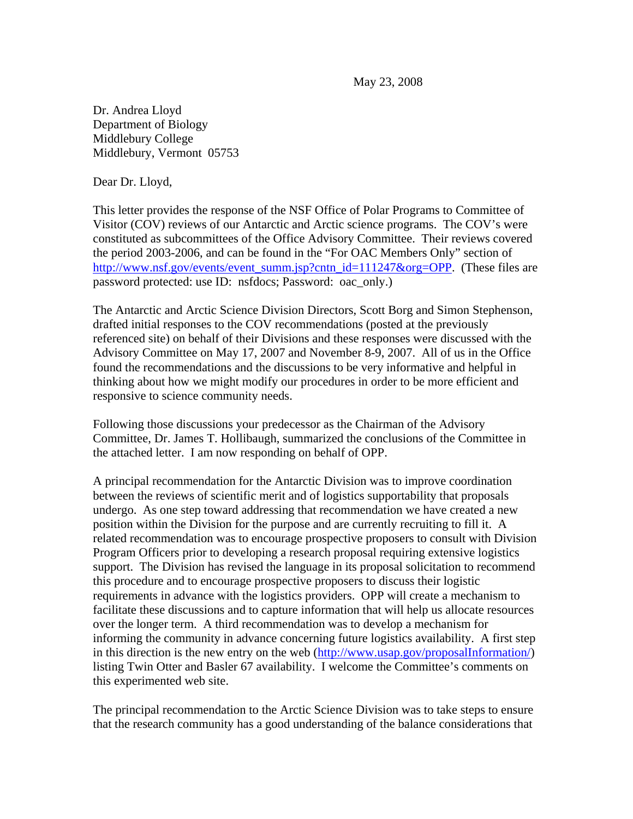May 23, 2008

Dr. Andrea Lloyd Department of Biology Middlebury College Middlebury, Vermont 05753

Dear Dr. Lloyd,

This letter provides the response of the NSF Office of Polar Programs to Committee of Visitor (COV) reviews of our Antarctic and Arctic science programs. The COV's were constituted as subcommittees of the Office Advisory Committee. Their reviews covered the period 2003-2006, and can be found in the "For OAC Members Only" section of [http://www.nsf.gov/events/event\\_summ.jsp?cntn\\_id=111247&org=OPP](http://www.nsf.gov/events/event_summ.jsp?cntn_id=111247&org=OPP). (These files are password protected: use ID: nsfdocs; Password: oac\_only.)

The Antarctic and Arctic Science Division Directors, Scott Borg and Simon Stephenson, drafted initial responses to the COV recommendations (posted at the previously referenced site) on behalf of their Divisions and these responses were discussed with the Advisory Committee on May 17, 2007 and November 8-9, 2007. All of us in the Office found the recommendations and the discussions to be very informative and helpful in thinking about how we might modify our procedures in order to be more efficient and responsive to science community needs.

Following those discussions your predecessor as the Chairman of the Advisory Committee, Dr. James T. Hollibaugh, summarized the conclusions of the Committee in the attached letter. I am now responding on behalf of OPP.

A principal recommendation for the Antarctic Division was to improve coordination between the reviews of scientific merit and of logistics supportability that proposals undergo. As one step toward addressing that recommendation we have created a new position within the Division for the purpose and are currently recruiting to fill it. A related recommendation was to encourage prospective proposers to consult with Division Program Officers prior to developing a research proposal requiring extensive logistics support. The Division has revised the language in its proposal solicitation to recommend this procedure and to encourage prospective proposers to discuss their logistic requirements in advance with the logistics providers. OPP will create a mechanism to facilitate these discussions and to capture information that will help us allocate resources over the longer term. A third recommendation was to develop a mechanism for informing the community in advance concerning future logistics availability. A first step in this direction is the new entry on the web [\(http://www.usap.gov/proposalInformation/](http://www.usap.gov/proposalInformation/)) listing Twin Otter and Basler 67 availability. I welcome the Committee's comments on this experimented web site.

The principal recommendation to the Arctic Science Division was to take steps to ensure that the research community has a good understanding of the balance considerations that